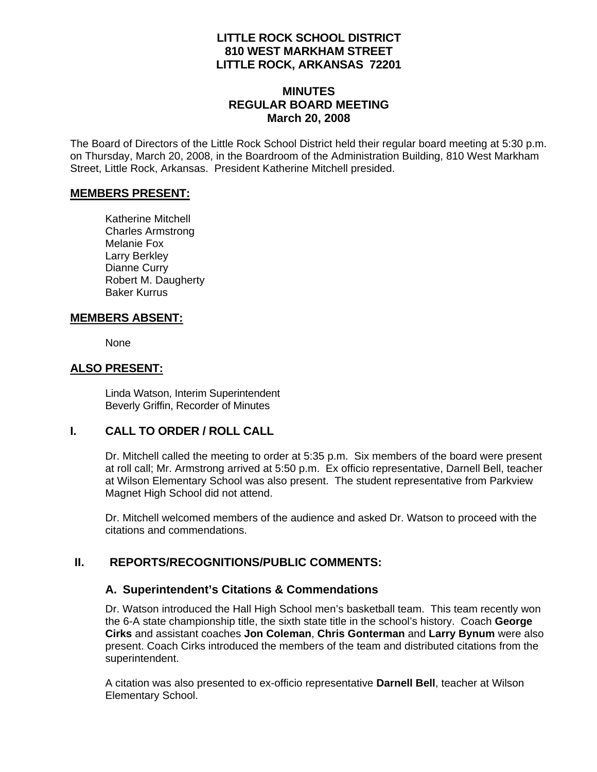### **LITTLE ROCK SCHOOL DISTRICT 810 WEST MARKHAM STREET LITTLE ROCK, ARKANSAS 72201**

#### **MINUTES REGULAR BOARD MEETING March 20, 2008**

The Board of Directors of the Little Rock School District held their regular board meeting at 5:30 p.m. on Thursday, March 20, 2008, in the Boardroom of the Administration Building, 810 West Markham Street, Little Rock, Arkansas. President Katherine Mitchell presided.

#### **MEMBERS PRESENT:**

Katherine Mitchell Charles Armstrong Melanie Fox Larry Berkley Dianne Curry Robert M. Daugherty Baker Kurrus

#### **MEMBERS ABSENT:**

None

#### **ALSO PRESENT:**

 Linda Watson, Interim Superintendent Beverly Griffin, Recorder of Minutes

### **I. CALL TO ORDER / ROLL CALL**

Dr. Mitchell called the meeting to order at 5:35 p.m. Six members of the board were present at roll call; Mr. Armstrong arrived at 5:50 p.m. Ex officio representative, Darnell Bell, teacher at Wilson Elementary School was also present. The student representative from Parkview Magnet High School did not attend.

Dr. Mitchell welcomed members of the audience and asked Dr. Watson to proceed with the citations and commendations.

### **II. REPORTS/RECOGNITIONS/PUBLIC COMMENTS:**

### **A. Superintendent's Citations & Commendations**

Dr. Watson introduced the Hall High School men's basketball team. This team recently won the 6-A state championship title, the sixth state title in the school's history. Coach **George Cirks** and assistant coaches **Jon Coleman**, **Chris Gonterman** and **Larry Bynum** were also present. Coach Cirks introduced the members of the team and distributed citations from the superintendent.

A citation was also presented to ex-officio representative **Darnell Bell**, teacher at Wilson Elementary School.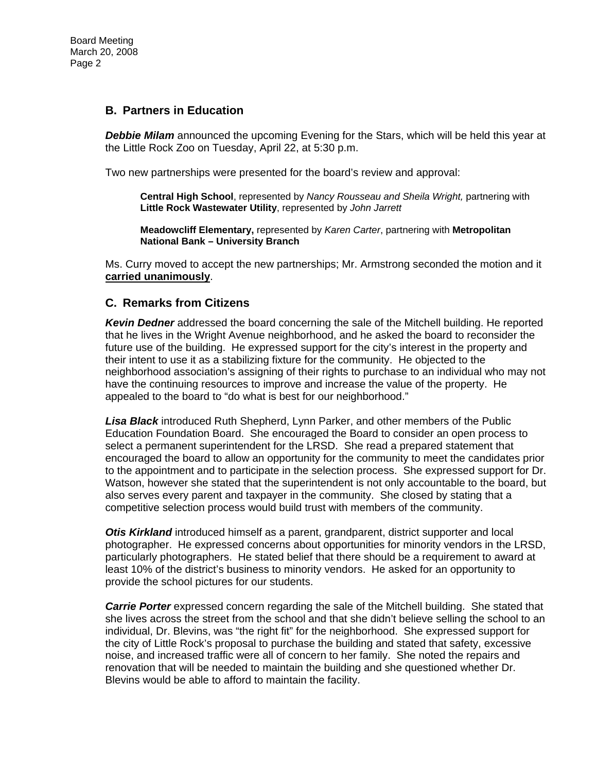### **B. Partners in Education**

*Debbie Milam* announced the upcoming Evening for the Stars, which will be held this year at the Little Rock Zoo on Tuesday, April 22, at 5:30 p.m.

Two new partnerships were presented for the board's review and approval:

**Central High School**, represented by *Nancy Rousseau and Sheila Wright,* partnering with **Little Rock Wastewater Utility**, represented by *John Jarrett* 

**Meadowcliff Elementary,** represented by *Karen Carter*, partnering with **Metropolitan National Bank – University Branch**

Ms. Curry moved to accept the new partnerships; Mr. Armstrong seconded the motion and it **carried unanimously**.

#### **C. Remarks from Citizens**

*Kevin Dedner* addressed the board concerning the sale of the Mitchell building. He reported that he lives in the Wright Avenue neighborhood, and he asked the board to reconsider the future use of the building. He expressed support for the city's interest in the property and their intent to use it as a stabilizing fixture for the community. He objected to the neighborhood association's assigning of their rights to purchase to an individual who may not have the continuing resources to improve and increase the value of the property. He appealed to the board to "do what is best for our neighborhood."

*Lisa Black* introduced Ruth Shepherd, Lynn Parker, and other members of the Public Education Foundation Board. She encouraged the Board to consider an open process to select a permanent superintendent for the LRSD. She read a prepared statement that encouraged the board to allow an opportunity for the community to meet the candidates prior to the appointment and to participate in the selection process. She expressed support for Dr. Watson, however she stated that the superintendent is not only accountable to the board, but also serves every parent and taxpayer in the community. She closed by stating that a competitive selection process would build trust with members of the community.

*Otis Kirkland* introduced himself as a parent, grandparent, district supporter and local photographer. He expressed concerns about opportunities for minority vendors in the LRSD, particularly photographers. He stated belief that there should be a requirement to award at least 10% of the district's business to minority vendors. He asked for an opportunity to provide the school pictures for our students.

**Carrie Porter** expressed concern regarding the sale of the Mitchell building. She stated that she lives across the street from the school and that she didn't believe selling the school to an individual, Dr. Blevins, was "the right fit" for the neighborhood. She expressed support for the city of Little Rock's proposal to purchase the building and stated that safety, excessive noise, and increased traffic were all of concern to her family. She noted the repairs and renovation that will be needed to maintain the building and she questioned whether Dr. Blevins would be able to afford to maintain the facility.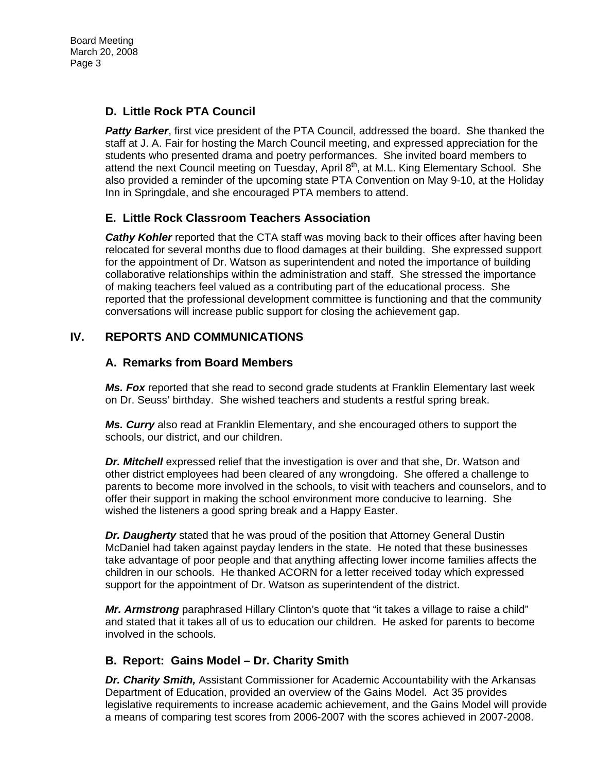Board Meeting March 20, 2008 Page 3

## **D. Little Rock PTA Council**

**Patty Barker**, first vice president of the PTA Council, addressed the board. She thanked the staff at J. A. Fair for hosting the March Council meeting, and expressed appreciation for the students who presented drama and poetry performances. She invited board members to attend the next Council meeting on Tuesday, April 8<sup>th</sup>, at M.L. King Elementary School. She also provided a reminder of the upcoming state PTA Convention on May 9-10, at the Holiday Inn in Springdale, and she encouraged PTA members to attend.

## **E. Little Rock Classroom Teachers Association**

**Cathy Kohler** reported that the CTA staff was moving back to their offices after having been relocated for several months due to flood damages at their building. She expressed support for the appointment of Dr. Watson as superintendent and noted the importance of building collaborative relationships within the administration and staff. She stressed the importance of making teachers feel valued as a contributing part of the educational process. She reported that the professional development committee is functioning and that the community conversations will increase public support for closing the achievement gap.

## **IV. REPORTS AND COMMUNICATIONS**

### **A. Remarks from Board Members**

*Ms. Fox* reported that she read to second grade students at Franklin Elementary last week on Dr. Seuss' birthday. She wished teachers and students a restful spring break.

*Ms. Curry* also read at Franklin Elementary, and she encouraged others to support the schools, our district, and our children.

**Dr. Mitchell** expressed relief that the investigation is over and that she, Dr. Watson and other district employees had been cleared of any wrongdoing. She offered a challenge to parents to become more involved in the schools, to visit with teachers and counselors, and to offer their support in making the school environment more conducive to learning. She wished the listeners a good spring break and a Happy Easter.

*Dr. Daugherty* stated that he was proud of the position that Attorney General Dustin McDaniel had taken against payday lenders in the state. He noted that these businesses take advantage of poor people and that anything affecting lower income families affects the children in our schools. He thanked ACORN for a letter received today which expressed support for the appointment of Dr. Watson as superintendent of the district.

*Mr. Armstrong* paraphrased Hillary Clinton's quote that "it takes a village to raise a child" and stated that it takes all of us to education our children. He asked for parents to become involved in the schools.

### **B. Report: Gains Model – Dr. Charity Smith**

*Dr. Charity Smith,* Assistant Commissioner for Academic Accountability with the Arkansas Department of Education, provided an overview of the Gains Model. Act 35 provides legislative requirements to increase academic achievement, and the Gains Model will provide a means of comparing test scores from 2006-2007 with the scores achieved in 2007-2008.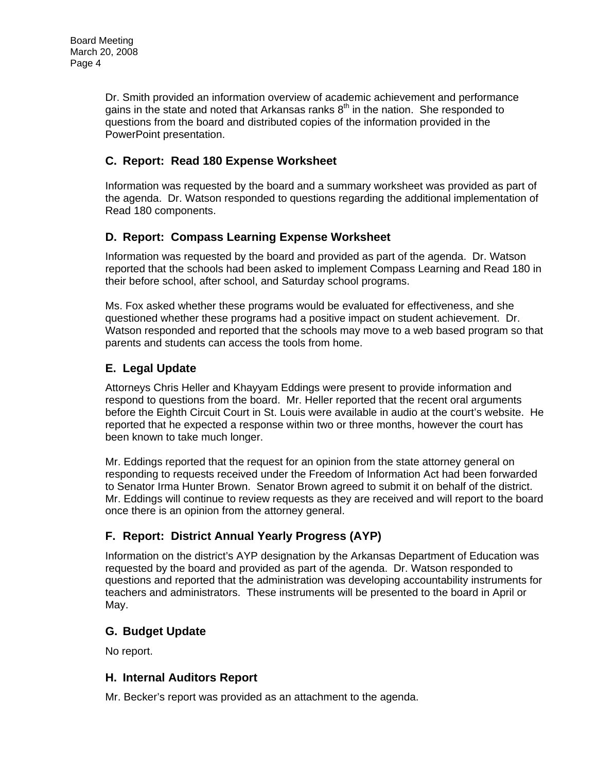Dr. Smith provided an information overview of academic achievement and performance gains in the state and noted that Arkansas ranks  $8<sup>th</sup>$  in the nation. She responded to questions from the board and distributed copies of the information provided in the PowerPoint presentation.

# **C. Report: Read 180 Expense Worksheet**

Information was requested by the board and a summary worksheet was provided as part of the agenda. Dr. Watson responded to questions regarding the additional implementation of Read 180 components.

# **D. Report: Compass Learning Expense Worksheet**

Information was requested by the board and provided as part of the agenda. Dr. Watson reported that the schools had been asked to implement Compass Learning and Read 180 in their before school, after school, and Saturday school programs.

Ms. Fox asked whether these programs would be evaluated for effectiveness, and she questioned whether these programs had a positive impact on student achievement. Dr. Watson responded and reported that the schools may move to a web based program so that parents and students can access the tools from home.

# **E. Legal Update**

Attorneys Chris Heller and Khayyam Eddings were present to provide information and respond to questions from the board. Mr. Heller reported that the recent oral arguments before the Eighth Circuit Court in St. Louis were available in audio at the court's website. He reported that he expected a response within two or three months, however the court has been known to take much longer.

Mr. Eddings reported that the request for an opinion from the state attorney general on responding to requests received under the Freedom of Information Act had been forwarded to Senator Irma Hunter Brown. Senator Brown agreed to submit it on behalf of the district. Mr. Eddings will continue to review requests as they are received and will report to the board once there is an opinion from the attorney general.

# **F. Report: District Annual Yearly Progress (AYP)**

Information on the district's AYP designation by the Arkansas Department of Education was requested by the board and provided as part of the agenda. Dr. Watson responded to questions and reported that the administration was developing accountability instruments for teachers and administrators. These instruments will be presented to the board in April or May.

# **G. Budget Update**

No report.

### **H. Internal Auditors Report**

Mr. Becker's report was provided as an attachment to the agenda.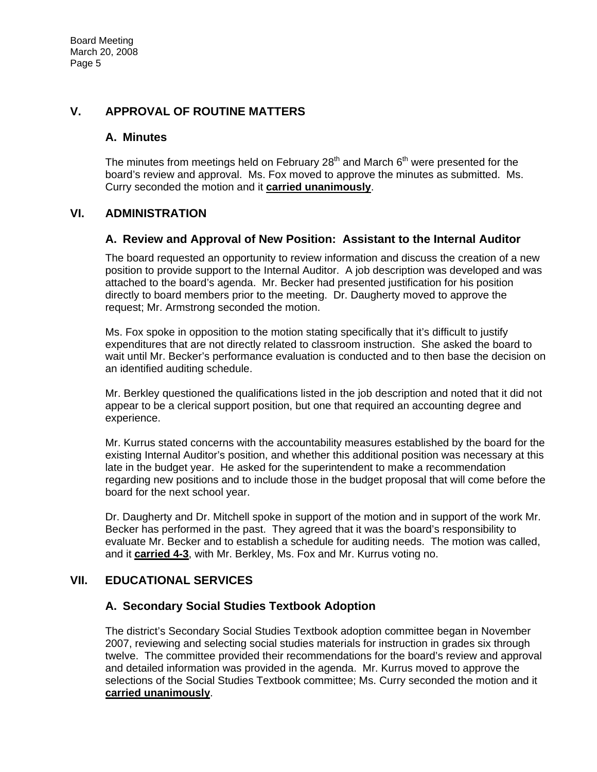### **V. APPROVAL OF ROUTINE MATTERS**

#### **A. Minutes**

The minutes from meetings held on February 28<sup>th</sup> and March  $6<sup>th</sup>$  were presented for the board's review and approval. Ms. Fox moved to approve the minutes as submitted. Ms. Curry seconded the motion and it **carried unanimously**.

### **VI. ADMINISTRATION**

### **A. Review and Approval of New Position: Assistant to the Internal Auditor**

The board requested an opportunity to review information and discuss the creation of a new position to provide support to the Internal Auditor. A job description was developed and was attached to the board's agenda. Mr. Becker had presented justification for his position directly to board members prior to the meeting. Dr. Daugherty moved to approve the request; Mr. Armstrong seconded the motion.

Ms. Fox spoke in opposition to the motion stating specifically that it's difficult to justify expenditures that are not directly related to classroom instruction. She asked the board to wait until Mr. Becker's performance evaluation is conducted and to then base the decision on an identified auditing schedule.

Mr. Berkley questioned the qualifications listed in the job description and noted that it did not appear to be a clerical support position, but one that required an accounting degree and experience.

Mr. Kurrus stated concerns with the accountability measures established by the board for the existing Internal Auditor's position, and whether this additional position was necessary at this late in the budget year. He asked for the superintendent to make a recommendation regarding new positions and to include those in the budget proposal that will come before the board for the next school year.

Dr. Daugherty and Dr. Mitchell spoke in support of the motion and in support of the work Mr. Becker has performed in the past. They agreed that it was the board's responsibility to evaluate Mr. Becker and to establish a schedule for auditing needs. The motion was called, and it **carried 4-3**, with Mr. Berkley, Ms. Fox and Mr. Kurrus voting no.

### **VII. EDUCATIONAL SERVICES**

### **A. Secondary Social Studies Textbook Adoption**

The district's Secondary Social Studies Textbook adoption committee began in November 2007, reviewing and selecting social studies materials for instruction in grades six through twelve. The committee provided their recommendations for the board's review and approval and detailed information was provided in the agenda. Mr. Kurrus moved to approve the selections of the Social Studies Textbook committee; Ms. Curry seconded the motion and it **carried unanimously**.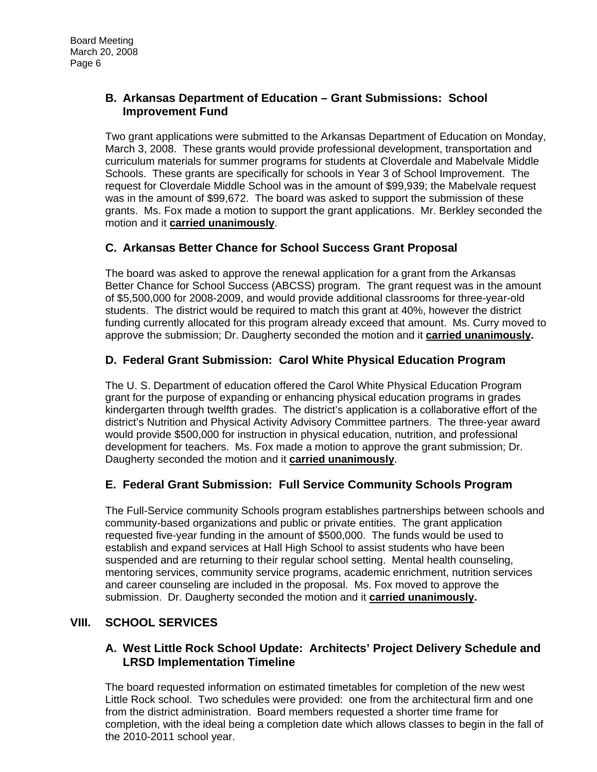### **B. Arkansas Department of Education – Grant Submissions: School Improvement Fund**

Two grant applications were submitted to the Arkansas Department of Education on Monday, March 3, 2008. These grants would provide professional development, transportation and curriculum materials for summer programs for students at Cloverdale and Mabelvale Middle Schools. These grants are specifically for schools in Year 3 of School Improvement. The request for Cloverdale Middle School was in the amount of \$99,939; the Mabelvale request was in the amount of \$99,672. The board was asked to support the submission of these grants. Ms. Fox made a motion to support the grant applications. Mr. Berkley seconded the motion and it **carried unanimously**.

# **C. Arkansas Better Chance for School Success Grant Proposal**

The board was asked to approve the renewal application for a grant from the Arkansas Better Chance for School Success (ABCSS) program. The grant request was in the amount of \$5,500,000 for 2008-2009, and would provide additional classrooms for three-year-old students. The district would be required to match this grant at 40%, however the district funding currently allocated for this program already exceed that amount. Ms. Curry moved to approve the submission; Dr. Daugherty seconded the motion and it **carried unanimously.**

# **D. Federal Grant Submission: Carol White Physical Education Program**

The U. S. Department of education offered the Carol White Physical Education Program grant for the purpose of expanding or enhancing physical education programs in grades kindergarten through twelfth grades. The district's application is a collaborative effort of the district's Nutrition and Physical Activity Advisory Committee partners. The three-year award would provide \$500,000 for instruction in physical education, nutrition, and professional development for teachers. Ms. Fox made a motion to approve the grant submission; Dr. Daugherty seconded the motion and it **carried unanimously**.

# **E. Federal Grant Submission: Full Service Community Schools Program**

The Full-Service community Schools program establishes partnerships between schools and community-based organizations and public or private entities. The grant application requested five-year funding in the amount of \$500,000. The funds would be used to establish and expand services at Hall High School to assist students who have been suspended and are returning to their regular school setting. Mental health counseling, mentoring services, community service programs, academic enrichment, nutrition services and career counseling are included in the proposal. Ms. Fox moved to approve the submission. Dr. Daugherty seconded the motion and it **carried unanimously.**

# **VIII. SCHOOL SERVICES**

### **A. West Little Rock School Update: Architects' Project Delivery Schedule and LRSD Implementation Timeline**

The board requested information on estimated timetables for completion of the new west Little Rock school. Two schedules were provided: one from the architectural firm and one from the district administration. Board members requested a shorter time frame for completion, with the ideal being a completion date which allows classes to begin in the fall of the 2010-2011 school year.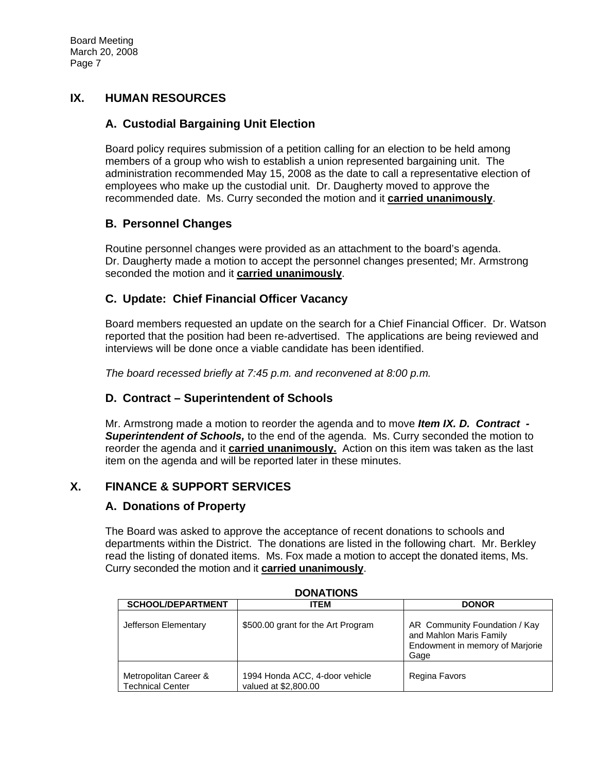## **IX. HUMAN RESOURCES**

## **A. Custodial Bargaining Unit Election**

Board policy requires submission of a petition calling for an election to be held among members of a group who wish to establish a union represented bargaining unit. The administration recommended May 15, 2008 as the date to call a representative election of employees who make up the custodial unit. Dr. Daugherty moved to approve the recommended date. Ms. Curry seconded the motion and it **carried unanimously**.

### **B. Personnel Changes**

Routine personnel changes were provided as an attachment to the board's agenda. Dr. Daugherty made a motion to accept the personnel changes presented; Mr. Armstrong seconded the motion and it **carried unanimously**.

## **C. Update: Chief Financial Officer Vacancy**

Board members requested an update on the search for a Chief Financial Officer. Dr. Watson reported that the position had been re-advertised. The applications are being reviewed and interviews will be done once a viable candidate has been identified.

*The board recessed briefly at 7:45 p.m. and reconvened at 8:00 p.m.* 

### **D. Contract – Superintendent of Schools**

Mr. Armstrong made a motion to reorder the agenda and to move *Item IX. D. Contract - Superintendent of Schools,* to the end of the agenda. Ms. Curry seconded the motion to reorder the agenda and it **carried unanimously.** Action on this item was taken as the last item on the agenda and will be reported later in these minutes.

# **X. FINANCE & SUPPORT SERVICES**

### **A. Donations of Property**

The Board was asked to approve the acceptance of recent donations to schools and departments within the District. The donations are listed in the following chart. Mr. Berkley read the listing of donated items. Ms. Fox made a motion to accept the donated items, Ms. Curry seconded the motion and it **carried unanimously**.

| טוועוועש                                         |                                                        |                                                                                                     |  |
|--------------------------------------------------|--------------------------------------------------------|-----------------------------------------------------------------------------------------------------|--|
| <b>SCHOOL/DEPARTMENT</b>                         | <b>ITEM</b>                                            | <b>DONOR</b>                                                                                        |  |
| Jefferson Elementary                             | \$500.00 grant for the Art Program                     | AR Community Foundation / Kay<br>and Mahlon Maris Family<br>Endowment in memory of Marjorie<br>Gage |  |
| Metropolitan Career &<br><b>Technical Center</b> | 1994 Honda ACC, 4-door vehicle<br>valued at \$2,800.00 | Regina Favors                                                                                       |  |

**DONATIONS**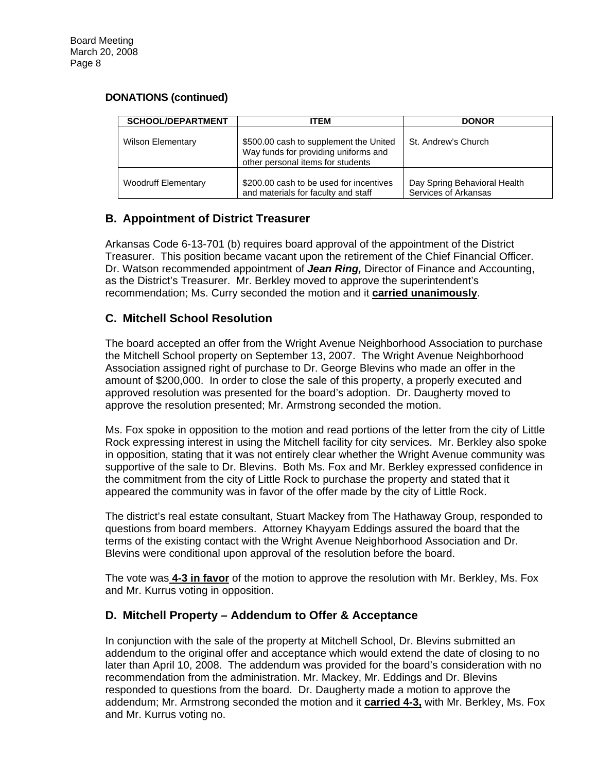#### **DONATIONS (continued)**

| <b>SCHOOL/DEPARTMENT</b>   | ITEM                                                                                                                | <b>DONOR</b>                                         |
|----------------------------|---------------------------------------------------------------------------------------------------------------------|------------------------------------------------------|
| <b>Wilson Elementary</b>   | \$500.00 cash to supplement the United<br>Way funds for providing uniforms and<br>other personal items for students | St. Andrew's Church                                  |
| <b>Woodruff Elementary</b> | \$200.00 cash to be used for incentives<br>and materials for faculty and staff                                      | Day Spring Behavioral Health<br>Services of Arkansas |

# **B. Appointment of District Treasurer**

Arkansas Code 6-13-701 (b) requires board approval of the appointment of the District Treasurer. This position became vacant upon the retirement of the Chief Financial Officer. Dr. Watson recommended appointment of *Jean Ring,* Director of Finance and Accounting, as the District's Treasurer. Mr. Berkley moved to approve the superintendent's recommendation; Ms. Curry seconded the motion and it **carried unanimously**.

## **C. Mitchell School Resolution**

The board accepted an offer from the Wright Avenue Neighborhood Association to purchase the Mitchell School property on September 13, 2007. The Wright Avenue Neighborhood Association assigned right of purchase to Dr. George Blevins who made an offer in the amount of \$200,000. In order to close the sale of this property, a properly executed and approved resolution was presented for the board's adoption. Dr. Daugherty moved to approve the resolution presented; Mr. Armstrong seconded the motion.

Ms. Fox spoke in opposition to the motion and read portions of the letter from the city of Little Rock expressing interest in using the Mitchell facility for city services. Mr. Berkley also spoke in opposition, stating that it was not entirely clear whether the Wright Avenue community was supportive of the sale to Dr. Blevins. Both Ms. Fox and Mr. Berkley expressed confidence in the commitment from the city of Little Rock to purchase the property and stated that it appeared the community was in favor of the offer made by the city of Little Rock.

The district's real estate consultant, Stuart Mackey from The Hathaway Group, responded to questions from board members. Attorney Khayyam Eddings assured the board that the terms of the existing contact with the Wright Avenue Neighborhood Association and Dr. Blevins were conditional upon approval of the resolution before the board.

The vote was **4-3 in favor** of the motion to approve the resolution with Mr. Berkley, Ms. Fox and Mr. Kurrus voting in opposition.

### **D. Mitchell Property – Addendum to Offer & Acceptance**

In conjunction with the sale of the property at Mitchell School, Dr. Blevins submitted an addendum to the original offer and acceptance which would extend the date of closing to no later than April 10, 2008. The addendum was provided for the board's consideration with no recommendation from the administration. Mr. Mackey, Mr. Eddings and Dr. Blevins responded to questions from the board. Dr. Daugherty made a motion to approve the addendum; Mr. Armstrong seconded the motion and it **carried 4-3,** with Mr. Berkley, Ms. Fox and Mr. Kurrus voting no.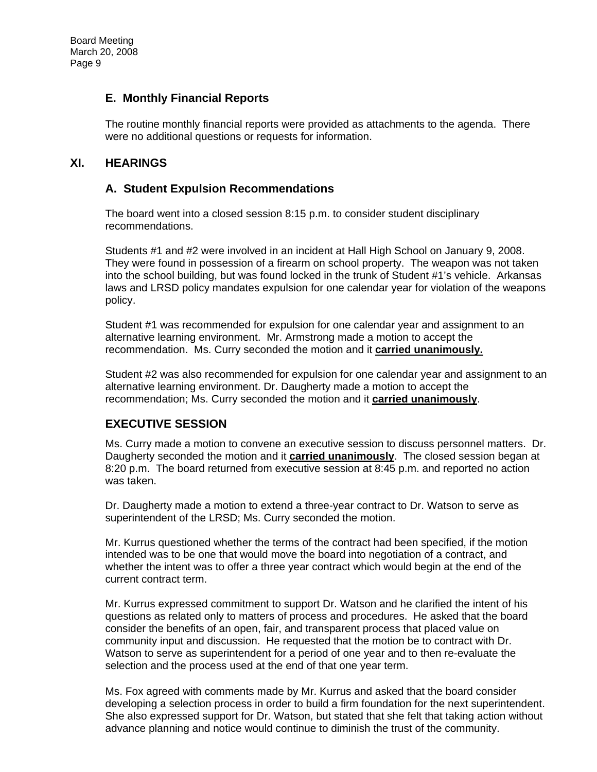### **E. Monthly Financial Reports**

The routine monthly financial reports were provided as attachments to the agenda. There were no additional questions or requests for information.

## **XI. HEARINGS**

### **A. Student Expulsion Recommendations**

The board went into a closed session 8:15 p.m. to consider student disciplinary recommendations.

Students #1 and #2 were involved in an incident at Hall High School on January 9, 2008. They were found in possession of a firearm on school property. The weapon was not taken into the school building, but was found locked in the trunk of Student #1's vehicle. Arkansas laws and LRSD policy mandates expulsion for one calendar year for violation of the weapons policy.

Student #1 was recommended for expulsion for one calendar year and assignment to an alternative learning environment. Mr. Armstrong made a motion to accept the recommendation. Ms. Curry seconded the motion and it **carried unanimously.**

Student #2 was also recommended for expulsion for one calendar year and assignment to an alternative learning environment. Dr. Daugherty made a motion to accept the recommendation; Ms. Curry seconded the motion and it **carried unanimously**.

### **EXECUTIVE SESSION**

Ms. Curry made a motion to convene an executive session to discuss personnel matters. Dr. Daugherty seconded the motion and it **carried unanimously**. The closed session began at 8:20 p.m. The board returned from executive session at 8:45 p.m. and reported no action was taken.

Dr. Daugherty made a motion to extend a three-year contract to Dr. Watson to serve as superintendent of the LRSD; Ms. Curry seconded the motion.

Mr. Kurrus questioned whether the terms of the contract had been specified, if the motion intended was to be one that would move the board into negotiation of a contract, and whether the intent was to offer a three year contract which would begin at the end of the current contract term.

Mr. Kurrus expressed commitment to support Dr. Watson and he clarified the intent of his questions as related only to matters of process and procedures. He asked that the board consider the benefits of an open, fair, and transparent process that placed value on community input and discussion. He requested that the motion be to contract with Dr. Watson to serve as superintendent for a period of one year and to then re-evaluate the selection and the process used at the end of that one year term.

Ms. Fox agreed with comments made by Mr. Kurrus and asked that the board consider developing a selection process in order to build a firm foundation for the next superintendent. She also expressed support for Dr. Watson, but stated that she felt that taking action without advance planning and notice would continue to diminish the trust of the community.